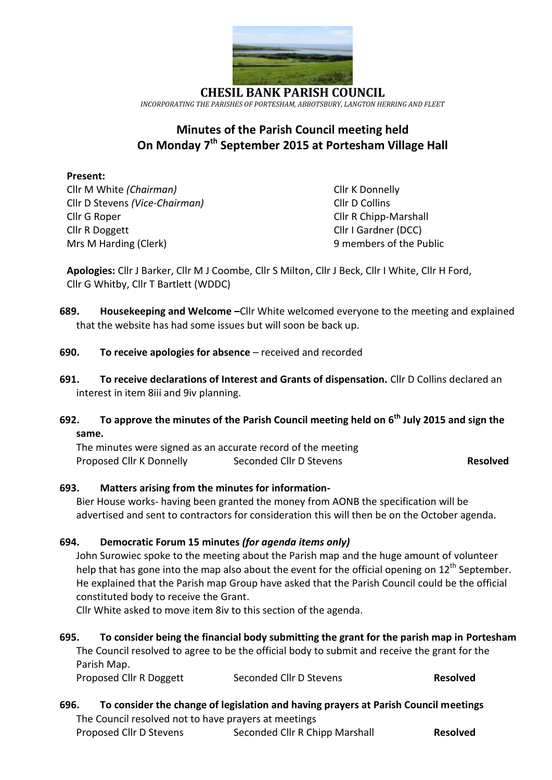

**CHESIL BANK PARISH COUNCIL** *INCORPORATING THE PARISHES OF PORTESHAM, ABBOTSBURY, LANGTON HERRING AND FLEET*

# **Minutes of the Parish Council meeting held On Monday 7 th September 2015 at Portesham Village Hall**

## **Present:**

Cllr M White *(Chairman)* Cllr K Donnelly Cllr D Stevens *(Vice-Chairman)* Cllr D Collins Cllr G Roper Cllr R Chipp-Marshall Cllr R Doggett Cllr I Gardner (DCC) Mrs M Harding (Clerk) 9 members of the Public

**Apologies:** Cllr J Barker, Cllr M J Coombe, Cllr S Milton, Cllr J Beck, Cllr I White, Cllr H Ford, Cllr G Whitby, Cllr T Bartlett (WDDC)

- **689. Housekeeping and Welcome –**Cllr White welcomed everyone to the meeting and explained that the website has had some issues but will soon be back up.
- **690. To receive apologies for absence**  received and recorded
- **691. To receive declarations of Interest and Grants of dispensation.** Cllr D Collins declared an interest in item 8iii and 9iv planning.

# **692. To approve the minutes of the Parish Council meeting held on 6 th July 2015 and sign the same.**

The minutes were signed as an accurate record of the meeting Proposed Cllr K Donnelly Seconded Cllr D Stevens **Resolved** 

## **693. Matters arising from the minutes for information-**

Bier House works- having been granted the money from AONB the specification will be advertised and sent to contractors for consideration this will then be on the October agenda.

## **694. Democratic Forum 15 minutes** *(for agenda items only)*

John Surowiec spoke to the meeting about the Parish map and the huge amount of volunteer help that has gone into the map also about the event for the official opening on  $12<sup>th</sup>$  September. He explained that the Parish map Group have asked that the Parish Council could be the official constituted body to receive the Grant.

Cllr White asked to move item 8iv to this section of the agenda.

# **695. To consider being the financial body submitting the grant for the parish map in Portesham**  The Council resolved to agree to be the official body to submit and receive the grant for the Parish Map.

| Proposed Cllr R Doggett | Seconded Cllr D Stevens | <b>Resolved</b> |
|-------------------------|-------------------------|-----------------|
|                         |                         |                 |

# **696. To consider the change of legislation and having prayers at Parish Council meetings** The Council resolved not to have prayers at meetings

| Proposed Cllr D Stevens | Seconded Cllr R Chipp Marshall | <b>Resolved</b> |
|-------------------------|--------------------------------|-----------------|
|-------------------------|--------------------------------|-----------------|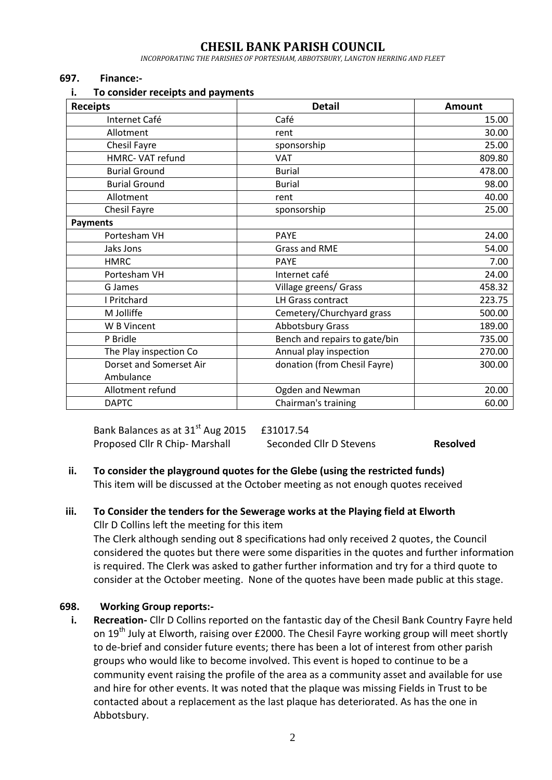# **CHESIL BANK PARISH COUNCIL**

*INCORPORATING THE PARISHES OF PORTESHAM, ABBOTSBURY, LANGTON HERRING AND FLEET*

#### **697. Finance:-**

#### **i. To consider receipts and payments**

| <b>Receipts</b>         | <b>Detail</b>                 | <b>Amount</b> |  |
|-------------------------|-------------------------------|---------------|--|
| Internet Café           | Café                          | 15.00         |  |
| Allotment               | rent                          | 30.00         |  |
| Chesil Fayre            | sponsorship                   | 25.00         |  |
| HMRC- VAT refund        | <b>VAT</b>                    | 809.80        |  |
| <b>Burial Ground</b>    | <b>Burial</b>                 | 478.00        |  |
| <b>Burial Ground</b>    | <b>Burial</b>                 | 98.00         |  |
| Allotment               | rent                          | 40.00         |  |
| Chesil Fayre            | sponsorship                   | 25.00         |  |
| <b>Payments</b>         |                               |               |  |
| Portesham VH            | <b>PAYE</b>                   | 24.00         |  |
| Jaks Jons               | <b>Grass and RME</b>          | 54.00         |  |
| <b>HMRC</b>             | <b>PAYE</b>                   | 7.00          |  |
| Portesham VH            | Internet café                 | 24.00         |  |
| G James                 | Village greens/ Grass         | 458.32        |  |
| I Pritchard             | LH Grass contract             | 223.75        |  |
| M Jolliffe              | Cemetery/Churchyard grass     | 500.00        |  |
| W B Vincent             | Abbotsbury Grass              | 189.00        |  |
| P Bridle                | Bench and repairs to gate/bin | 735.00        |  |
| The Play inspection Co  | Annual play inspection        | 270.00        |  |
| Dorset and Somerset Air | donation (from Chesil Fayre)  | 300.00        |  |
| Ambulance               |                               |               |  |
| Allotment refund        | Ogden and Newman              | 20.00         |  |
| <b>DAPTC</b>            | Chairman's training           | 60.00         |  |

Bank Balances as at  $31<sup>st</sup>$  Aug 2015 £31017.54 Proposed Cllr R Chip- Marshall Seconded Cllr D Stevens **Resolved** 

## **ii. To consider the playground quotes for the Glebe (using the restricted funds)** This item will be discussed at the October meeting as not enough quotes received

#### **iii. To Consider the tenders for the Sewerage works at the Playing field at Elworth** Cllr D Collins left the meeting for this item

The Clerk although sending out 8 specifications had only received 2 quotes, the Council considered the quotes but there were some disparities in the quotes and further information is required. The Clerk was asked to gather further information and try for a third quote to consider at the October meeting. None of the quotes have been made public at this stage.

#### **698. Working Group reports:-**

**i. Recreation-** Cllr D Collins reported on the fantastic day of the Chesil Bank Country Fayre held on 19<sup>th</sup> July at Elworth, raising over £2000. The Chesil Fayre working group will meet shortly to de-brief and consider future events; there has been a lot of interest from other parish groups who would like to become involved. This event is hoped to continue to be a community event raising the profile of the area as a community asset and available for use and hire for other events. It was noted that the plaque was missing Fields in Trust to be contacted about a replacement as the last plaque has deteriorated. As has the one in Abbotsbury.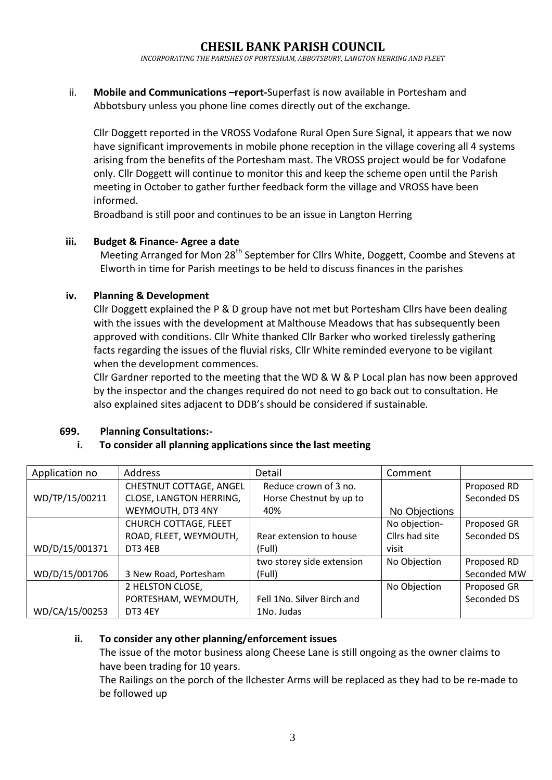*INCORPORATING THE PARISHES OF PORTESHAM, ABBOTSBURY, LANGTON HERRING AND FLEET*

ii. **Mobile and Communications –report-**Superfast is now available in Portesham and Abbotsbury unless you phone line comes directly out of the exchange.

Cllr Doggett reported in the VROSS Vodafone Rural Open Sure Signal, it appears that we now have significant improvements in mobile phone reception in the village covering all 4 systems arising from the benefits of the Portesham mast. The VROSS project would be for Vodafone only. Cllr Doggett will continue to monitor this and keep the scheme open until the Parish meeting in October to gather further feedback form the village and VROSS have been informed.

Broadband is still poor and continues to be an issue in Langton Herring

## **iii. Budget & Finance- Agree a date**

Meeting Arranged for Mon 28<sup>th</sup> September for Cllrs White, Doggett, Coombe and Stevens at Elworth in time for Parish meetings to be held to discuss finances in the parishes

## **iv. Planning & Development**

Cllr Doggett explained the P & D group have not met but Portesham Cllrs have been dealing with the issues with the development at Malthouse Meadows that has subsequently been approved with conditions. Cllr White thanked Cllr Barker who worked tirelessly gathering facts regarding the issues of the fluvial risks, Cllr White reminded everyone to be vigilant when the development commences.

Cllr Gardner reported to the meeting that the WD & W & P Local plan has now been approved by the inspector and the changes required do not need to go back out to consultation. He also explained sites adjacent to DDB's should be considered if sustainable.

## **699. Planning Consultations:-**

## **i. To consider all planning applications since the last meeting**

| Application no | <b>Address</b>               | Detail                     | Comment        |             |
|----------------|------------------------------|----------------------------|----------------|-------------|
|                | CHESTNUT COTTAGE, ANGEL      | Reduce crown of 3 no.      |                | Proposed RD |
| WD/TP/15/00211 | CLOSE, LANGTON HERRING,      | Horse Chestnut by up to    |                | Seconded DS |
|                | WEYMOUTH, DT3 4NY            | 40%                        | No Objections  |             |
|                | <b>CHURCH COTTAGE, FLEET</b> |                            | No objection-  | Proposed GR |
|                | ROAD, FLEET, WEYMOUTH,       | Rear extension to house    | Cllrs had site | Seconded DS |
| WD/D/15/001371 | DT3 4EB                      | (Full)                     | visit          |             |
|                |                              | two storey side extension  | No Objection   | Proposed RD |
| WD/D/15/001706 | 3 New Road, Portesham        | (Full)                     |                | Seconded MW |
|                | 2 HELSTON CLOSE,             |                            | No Objection   | Proposed GR |
|                | PORTESHAM, WEYMOUTH,         | Fell 1No. Silver Birch and |                | Seconded DS |
| WD/CA/15/00253 | DT3 4EY                      | 1No. Judas                 |                |             |

## **ii. To consider any other planning/enforcement issues**

The issue of the motor business along Cheese Lane is still ongoing as the owner claims to have been trading for 10 years.

The Railings on the porch of the Ilchester Arms will be replaced as they had to be re-made to be followed up